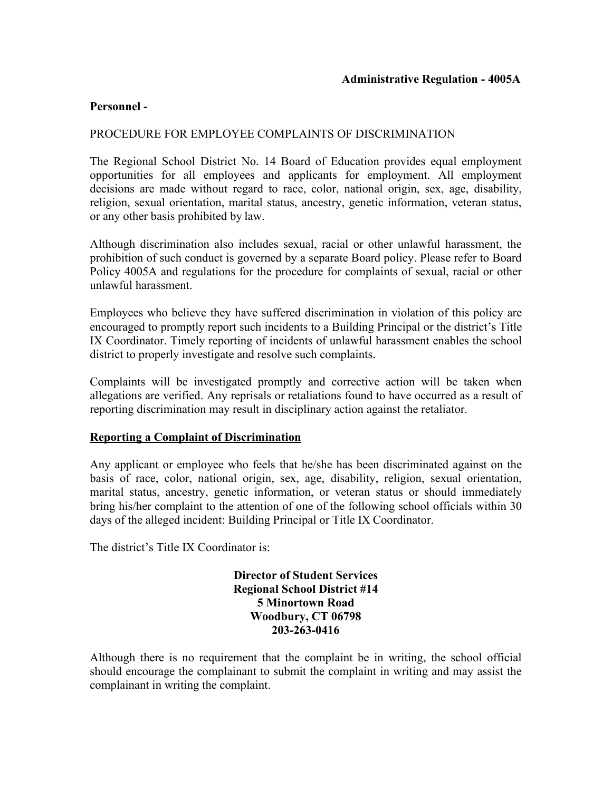# **Personnel -**

# PROCEDURE FOR EMPLOYEE COMPLAINTS OF DISCRIMINATION

 or any other basis prohibited by law. The Regional School District No. 14 Board of Education provides equal employment opportunities for all employees and applicants for employment. All employment decisions are made without regard to race, color, national origin, sex, age, disability, religion, sexual orientation, marital status, ancestry, genetic information, veteran status,

Although discrimination also includes sexual, racial or other unlawful harassment, the prohibition of such conduct is governed by a separate Board policy. Please refer to Board Policy 4005A and regulations for the procedure for complaints of sexual, racial or other unlawful harassment.

Employees who believe they have suffered discrimination in violation of this policy are encouraged to promptly report such incidents to a Building Principal or the district's Title IX Coordinator. Timely reporting of incidents of unlawful harassment enables the school district to properly investigate and resolve such complaints.

Complaints will be investigated promptly and corrective action will be taken when allegations are verified. Any reprisals or retaliations found to have occurred as a result of reporting discrimination may result in disciplinary action against the retaliator.

### **Reporting a Complaint of Discrimination**

Any applicant or employee who feels that he/she has been discriminated against on the basis of race, color, national origin, sex, age, disability, religion, sexual orientation, marital status, ancestry, genetic information, or veteran status or should immediately bring his/her complaint to the attention of one of the following school officials within 30 days of the alleged incident: Building Principal or Title IX Coordinator.

The district's Title IX Coordinator is:

**Director of Student Services Regional School District #14 5 Minortown Road Woodbury, CT 06798 203-263-0416** 

Although there is no requirement that the complaint be in writing, the school official should encourage the complainant to submit the complaint in writing and may assist the complainant in writing the complaint.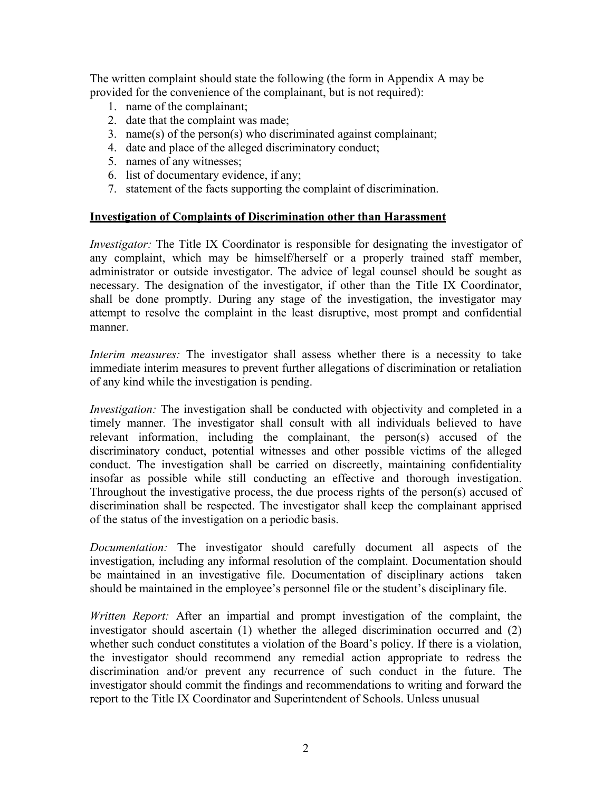The written complaint should state the following (the form in Appendix A may be provided for the convenience of the complainant, but is not required):

- 1. name of the complainant;
- 2. date that the complaint was made;
- 3. name(s) of the person(s) who discriminated against complainant;
- 4. date and place of the alleged discriminatory conduct;
- 5. names of any witnesses;
- 6. list of documentary evidence, if any;
- 7. statement of the facts supporting the complaint of discrimination.

### **Investigation of Complaints of Discrimination other than Harassment**

*Investigator:* The Title IX Coordinator is responsible for designating the investigator of any complaint, which may be himself/herself or a properly trained staff member, administrator or outside investigator. The advice of legal counsel should be sought as necessary. The designation of the investigator, if other than the Title IX Coordinator, shall be done promptly. During any stage of the investigation, the investigator may attempt to resolve the complaint in the least disruptive, most prompt and confidential manner.

 immediate interim measures to prevent further allegations of discrimination or retaliation *Interim measures:* The investigator shall assess whether there is a necessity to take of any kind while the investigation is pending.

 discrimination shall be respected. The investigator shall keep the complainant apprised of the status of the investigation on a periodic basis. of the status of the investigation on a periodic basis. *Investigation:* The investigation shall be conducted with objectivity and completed in a timely manner. The investigator shall consult with all individuals believed to have relevant information, including the complainant, the person(s) accused of the discriminatory conduct, potential witnesses and other possible victims of the alleged conduct. The investigation shall be carried on discreetly, maintaining confidentiality insofar as possible while still conducting an effective and thorough investigation. Throughout the investigative process, the due process rights of the person(s) accused of

 should be maintained in the employee's personnel file or the student's disciplinary file. *Documentation:* The investigator should carefully document all aspects of the investigation, including any informal resolution of the complaint. Documentation should be maintained in an investigative file. Documentation of disciplinary actions taken

*Written Report:* After an impartial and prompt investigation of the complaint, the investigator should ascertain (1) whether the alleged discrimination occurred and (2) whether such conduct constitutes a violation of the Board's policy. If there is a violation, the investigator should recommend any remedial action appropriate to redress the discrimination and/or prevent any recurrence of such conduct in the future. The investigator should commit the findings and recommendations to writing and forward the report to the Title IX Coordinator and Superintendent of Schools. Unless unusual